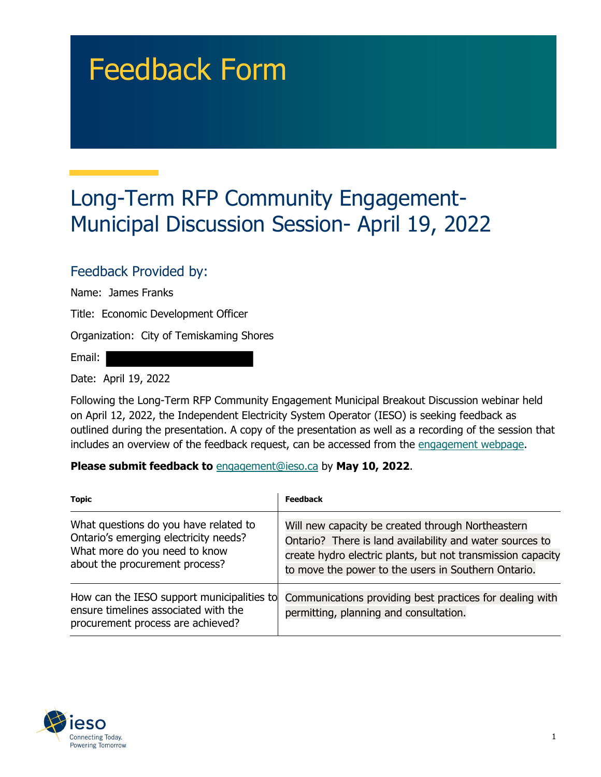# Feedback Form

## Long-Term RFP Community Engagement-Municipal Discussion Session- April 19, 2022

#### Feedback Provided by:

Name: James Franks

Title: Economic Development Officer

Organization: City of Temiskaming Shores

Email:

Date: April 19, 2022

Following the Long-Term RFP Community Engagement Municipal Breakout Discussion webinar held on April 12, 2022, the Independent Electricity System Operator (IESO) is seeking feedback as outlined during the presentation. A copy of the presentation as well as a recording of the session that includes an overview of the feedback request, can be accessed from the [engagement webpage.](https://www.ieso.ca/en/Sector-Participants/Engagement-Initiatives/Engagements/Long-Term-RFP-Community-Engagement)

#### **Please submit feedback to** engagement@ieso.ca by **May 10, 2022**.

| <b>Topic</b>                                                                                                                                      | <b>Feedback</b>                                                                                                                                                                                                                     |
|---------------------------------------------------------------------------------------------------------------------------------------------------|-------------------------------------------------------------------------------------------------------------------------------------------------------------------------------------------------------------------------------------|
| What questions do you have related to<br>Ontario's emerging electricity needs?<br>What more do you need to know<br>about the procurement process? | Will new capacity be created through Northeastern<br>Ontario? There is land availability and water sources to<br>create hydro electric plants, but not transmission capacity<br>to move the power to the users in Southern Ontario. |
| How can the IESO support municipalities to<br>ensure timelines associated with the<br>procurement process are achieved?                           | Communications providing best practices for dealing with<br>permitting, planning and consultation.                                                                                                                                  |